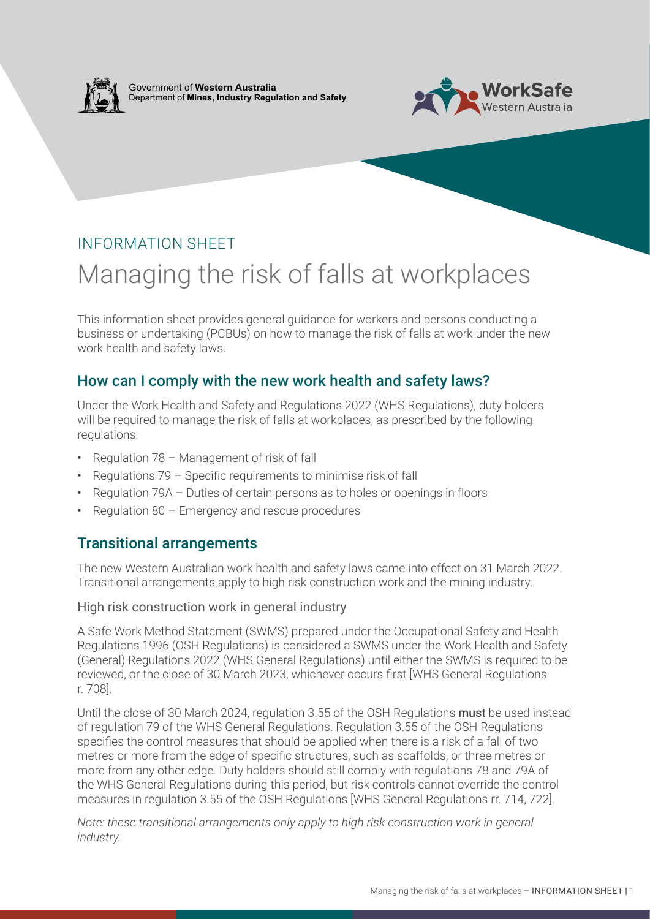

Government of **Western Australia** Department of **Mines, Industry Regulation and Safety**



## INFORMATION SHEET

# Managing the risk of falls at workplaces

This information sheet provides general guidance for workers and persons conducting a business or undertaking (PCBUs) on how to manage the risk of falls at work under the new work health and safety laws.

## How can I comply with the new work health and safety laws?

Under the Work Health and Safety and Regulations 2022 (WHS Regulations), duty holders will be required to manage the risk of falls at workplaces, as prescribed by the following regulations:

- Regulation 78 Management of risk of fall
- Regulations 79 Specific requirements to minimise risk of fall
- Regulation 79A Duties of certain persons as to holes or openings in floors
- Regulation 80 Emergency and rescue procedures

## Transitional arrangements

The new Western Australian work health and safety laws came into effect on 31 March 2022. Transitional arrangements apply to high risk construction work and the mining industry.

#### High risk construction work in general industry

A Safe Work Method Statement (SWMS) prepared under the Occupational Safety and Health Regulations 1996 (OSH Regulations) is considered a SWMS under the Work Health and Safety (General) Regulations 2022 (WHS General Regulations) until either the SWMS is required to be reviewed, or the close of 30 March 2023, whichever occurs first [WHS General Regulations r. 708].

Until the close of 30 March 2024, regulation 3.55 of the OSH Regulations must be used instead of regulation 79 of the WHS General Regulations. Regulation 3.55 of the OSH Regulations specifies the control measures that should be applied when there is a risk of a fall of two metres or more from the edge of specific structures, such as scaffolds, or three metres or more from any other edge. Duty holders should still comply with regulations 78 and 79A of the WHS General Regulations during this period, but risk controls cannot override the control measures in regulation 3.55 of the OSH Regulations [WHS General Regulations rr. 714, 722].

*Note: these transitional arrangements only apply to high risk construction work in general industry.*